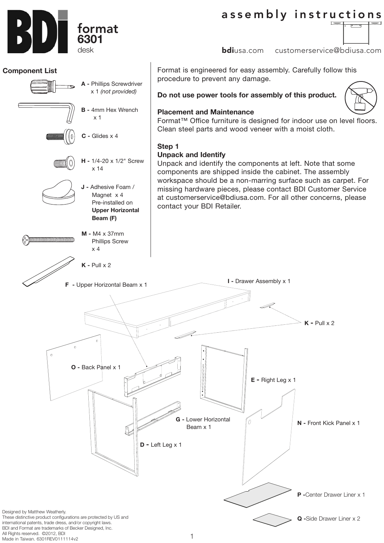assembly instructions

**bdi**usa.com customerservice@bdiusa.com

Format is engineered for easy assembly. Carefully follow this procedure to prevent any damage.

**Do not use power tools for assembly of this product.**

## **Placement and Maintenance**

Format™ Office furniture is designed for indoor use on level floors. Clean steel parts and wood veneer with a moist cloth.

# **Step 1**

**J -** Adhesive Foam / Magnet x 4 Pre-installed on  **Upper Horizontal** 

x 14

**C -** Glides x 4

x 1

**H -** 1/4-20 x 1/2" Screw

**B -** 4mm Hex Wrench

**A -** Phillips Screwdriver x 1 *(not provided)*

 **Beam (F)** 

**M -** M4 x 37mm Phillips Screw

x 4

<u> a manazaramana a manazara a shekara a m</u>

**K -** Pull x 2

# **Unpack and Identify**

Unpack and identify the components at left. Note that some components are shipped inside the cabinet. The assembly workspace should be a non-marring surface such as carpet. For missing hardware pieces, please contact BDI Customer Service at customerservice@bdiusa.com. For all other concerns, please contact your BDI Retailer.



international patents, trade dress, and/or copyright laws. BDI and Format are trademarks of Becker Designed, Inc. All Rights reserved. ©2012, BDI Made in Taiwan. 6301REV0111114v2

#### 1





**Component List**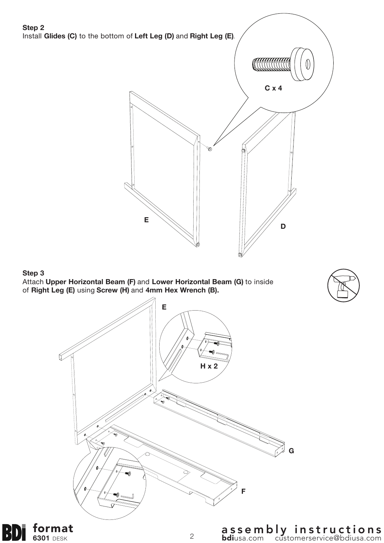

<sup>2</sup> assembly instructions bdiusa.com customerservice@bdiusa.com

format **6301** DESK

BD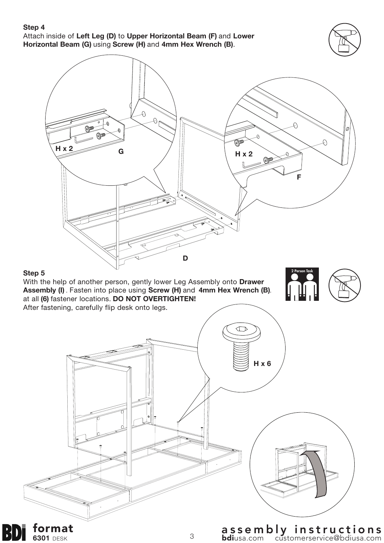### **Step 4**

format **6301** DESK

BD

Attach inside of **Left Leg (D)** to **Upper Horizontal Beam (F)** and **Lower Horizontal Beam (G)** using **Screw (H)** and **4mm Hex Wrench (B)**.



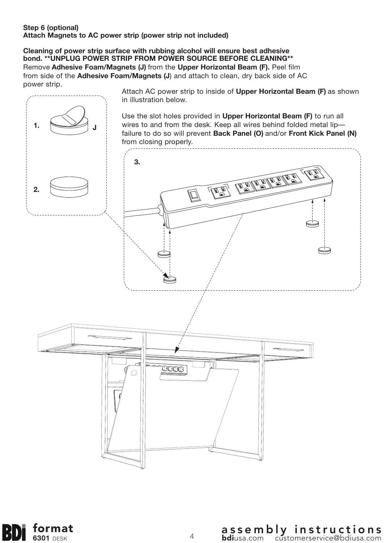## **Step 6 (optional) Attach Magnets to AC power strip (power strip not included)**

**Cleaning of power strip surface with rubbing alcohol will ensure best adhesive bond. \*\*UNPLUG POWER STRIP FROM POWER SOURCE BEFORE CLEANING\*\*** Remove **Adhesive Foam/Magnets (J)** from the **Upper Horizontal Beam (F).** Peel film from side of the **Adhesive Foam/Magnets (J**) and attach to clean, dry back side of AC power strip.



format B) **6301** DESK